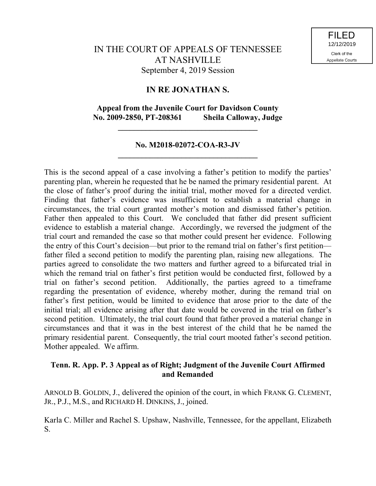# **IN RE JONATHAN S.**

# **Appeal from the Juvenile Court for Davidson County No. 2009-2850, PT-208361 Sheila Calloway, Judge**

**\_\_\_\_\_\_\_\_\_\_\_\_\_\_\_\_\_\_\_\_\_\_\_\_\_\_\_\_\_\_\_\_\_\_\_**

## **No. M2018-02072-COA-R3-JV \_\_\_\_\_\_\_\_\_\_\_\_\_\_\_\_\_\_\_\_\_\_\_\_\_\_\_\_\_\_\_\_\_\_\_**

This is the second appeal of a case involving a father's petition to modify the parties' parenting plan, wherein he requested that he be named the primary residential parent. At the close of father's proof during the initial trial, mother moved for a directed verdict. Finding that father's evidence was insufficient to establish a material change in circumstances, the trial court granted mother's motion and dismissed father's petition. Father then appealed to this Court. We concluded that father did present sufficient evidence to establish a material change. Accordingly, we reversed the judgment of the trial court and remanded the case so that mother could present her evidence. Following the entry of this Court's decision—but prior to the remand trial on father's first petition father filed a second petition to modify the parenting plan, raising new allegations. The parties agreed to consolidate the two matters and further agreed to a bifurcated trial in which the remand trial on father's first petition would be conducted first, followed by a trial on father's second petition. Additionally, the parties agreed to a timeframe regarding the presentation of evidence, whereby mother, during the remand trial on father's first petition, would be limited to evidence that arose prior to the date of the initial trial; all evidence arising after that date would be covered in the trial on father's second petition. Ultimately, the trial court found that father proved a material change in circumstances and that it was in the best interest of the child that he be named the primary residential parent. Consequently, the trial court mooted father's second petition. Mother appealed. We affirm.

## **Tenn. R. App. P. 3 Appeal as of Right; Judgment of the Juvenile Court Affirmed and Remanded**

ARNOLD B. GOLDIN, J., delivered the opinion of the court, in which FRANK G. CLEMENT, JR., P.J., M.S., and RICHARD H. DINKINS, J., joined.

Karla C. Miller and Rachel S. Upshaw, Nashville, Tennessee, for the appellant, Elizabeth S.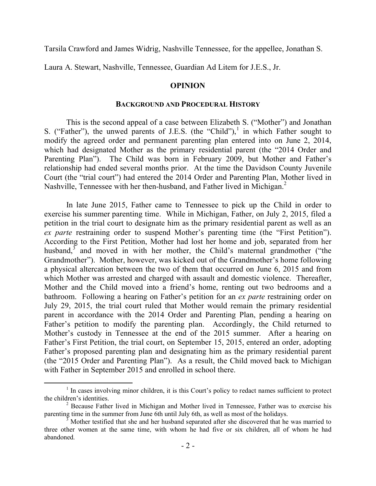Tarsila Crawford and James Widrig, Nashville Tennessee, for the appellee, Jonathan S.

Laura A. Stewart, Nashville, Tennessee, Guardian Ad Litem for J.E.S., Jr.

#### **OPINION**

#### **BACKGROUND AND PROCEDURAL HISTORY**

This is the second appeal of a case between Elizabeth S. ("Mother") and Jonathan S. ("Father"), the unwed parents of J.E.S. (the "Child"), $\frac{1}{1}$  in which Father sought to modify the agreed order and permanent parenting plan entered into on June 2, 2014, which had designated Mother as the primary residential parent (the "2014 Order and Parenting Plan"). The Child was born in February 2009, but Mother and Father's relationship had ended several months prior. At the time the Davidson County Juvenile Court (the "trial court") had entered the 2014 Order and Parenting Plan, Mother lived in Nashville, Tennessee with her then-husband, and Father lived in Michigan.<sup>2</sup>

In late June 2015, Father came to Tennessee to pick up the Child in order to exercise his summer parenting time. While in Michigan, Father, on July 2, 2015, filed a petition in the trial court to designate him as the primary residential parent as well as an *ex parte* restraining order to suspend Mother's parenting time (the "First Petition"). According to the First Petition, Mother had lost her home and job, separated from her husband, $3\overline{ }$  and moved in with her mother, the Child's maternal grandmother ("the Grandmother"). Mother, however, was kicked out of the Grandmother's home following a physical altercation between the two of them that occurred on June 6, 2015 and from which Mother was arrested and charged with assault and domestic violence. Thereafter, Mother and the Child moved into a friend's home, renting out two bedrooms and a bathroom. Following a hearing on Father's petition for an *ex parte* restraining order on July 29, 2015, the trial court ruled that Mother would remain the primary residential parent in accordance with the 2014 Order and Parenting Plan, pending a hearing on Father's petition to modify the parenting plan. Accordingly, the Child returned to Mother's custody in Tennessee at the end of the 2015 summer. After a hearing on Father's First Petition, the trial court, on September 15, 2015, entered an order, adopting Father's proposed parenting plan and designating him as the primary residential parent (the "2015 Order and Parenting Plan"). As a result, the Child moved back to Michigan with Father in September 2015 and enrolled in school there.

<sup>&</sup>lt;sup>1</sup> In cases involving minor children, it is this Court's policy to redact names sufficient to protect the children's identities.

<sup>&</sup>lt;sup>2</sup> Because Father lived in Michigan and Mother lived in Tennessee, Father was to exercise his parenting time in the summer from June 6th until July 6th, as well as most of the holidays.

<sup>3</sup> Mother testified that she and her husband separated after she discovered that he was married to three other women at the same time, with whom he had five or six children, all of whom he had abandoned.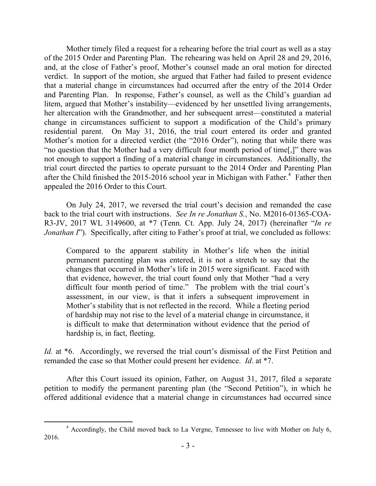Mother timely filed a request for a rehearing before the trial court as well as a stay of the 2015 Order and Parenting Plan. The rehearing was held on April 28 and 29, 2016, and, at the close of Father's proof, Mother's counsel made an oral motion for directed verdict. In support of the motion, she argued that Father had failed to present evidence that a material change in circumstances had occurred after the entry of the 2014 Order and Parenting Plan. In response, Father's counsel, as well as the Child's guardian ad litem, argued that Mother's instability—evidenced by her unsettled living arrangements, her altercation with the Grandmother, and her subsequent arrest—constituted a material change in circumstances sufficient to support a modification of the Child's primary residential parent. On May 31, 2016, the trial court entered its order and granted Mother's motion for a directed verdict (the "2016 Order"), noting that while there was "no question that the Mother had a very difficult four month period of time[,]" there was not enough to support a finding of a material change in circumstances. Additionally, the trial court directed the parties to operate pursuant to the 2014 Order and Parenting Plan after the Child finished the 2015-2016 school year in Michigan with Father.<sup>4</sup> Father then appealed the 2016 Order to this Court.

On July 24, 2017, we reversed the trial court's decision and remanded the case back to the trial court with instructions. *See In re Jonathan S.*, No. M2016-01365-COA-R3-JV, 2017 WL 3149600, at \*7 (Tenn. Ct. App. July 24, 2017) (hereinafter "*In re Jonathan I*"). Specifically, after citing to Father's proof at trial, we concluded as follows:

Compared to the apparent stability in Mother's life when the initial permanent parenting plan was entered, it is not a stretch to say that the changes that occurred in Mother's life in 2015 were significant. Faced with that evidence, however, the trial court found only that Mother "had a very difficult four month period of time." The problem with the trial court's assessment, in our view, is that it infers a subsequent improvement in Mother's stability that is not reflected in the record. While a fleeting period of hardship may not rise to the level of a material change in circumstance, it is difficult to make that determination without evidence that the period of hardship is, in fact, fleeting.

Id. at  $*6$ . Accordingly, we reversed the trial court's dismissal of the First Petition and remanded the case so that Mother could present her evidence. *Id*. at \*7.

After this Court issued its opinion, Father, on August 31, 2017, filed a separate petition to modify the permanent parenting plan (the "Second Petition"), in which he offered additional evidence that a material change in circumstances had occurred since

 <sup>4</sup> Accordingly, the Child moved back to La Vergne, Tennessee to live with Mother on July 6, 2016.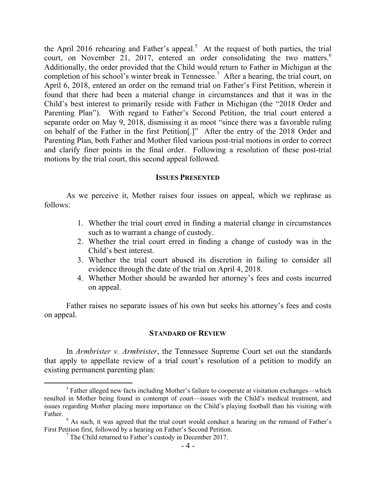the April 2016 rehearing and Father's appeal.<sup>5</sup> At the request of both parties, the trial court, on November 21, 2017, entered an order consolidating the two matters.<sup>6</sup> Additionally, the order provided that the Child would return to Father in Michigan at the completion of his school's winter break in Tennessee.<sup>7</sup> After a hearing, the trial court, on April 6, 2018, entered an order on the remand trial on Father's First Petition, wherein it found that there had been a material change in circumstances and that it was in the Child's best interest to primarily reside with Father in Michigan (the "2018 Order and Parenting Plan"). With regard to Father's Second Petition, the trial court entered a separate order on May 9, 2018, dismissing it as moot "since there was a favorable ruling on behalf of the Father in the first Petition[.]" After the entry of the 2018 Order and Parenting Plan, both Father and Mother filed various post-trial motions in order to correct and clarify finer points in the final order. Following a resolution of these post-trial motions by the trial court, this second appeal followed.

### **ISSUES PRESENTED**

As we perceive it, Mother raises four issues on appeal, which we rephrase as follows:

- 1. Whether the trial court erred in finding a material change in circumstances such as to warrant a change of custody.
- 2. Whether the trial court erred in finding a change of custody was in the Child's best interest.
- 3. Whether the trial court abused its discretion in failing to consider all evidence through the date of the trial on April 4, 2018.
- 4. Whether Mother should be awarded her attorney's fees and costs incurred on appeal.

Father raises no separate issues of his own but seeks his attorney's fees and costs on appeal.

#### **STANDARD OF REVIEW**

In *Armbrister v. Armbrister*, the Tennessee Supreme Court set out the standards that apply to appellate review of a trial court's resolution of a petition to modify an existing permanent parenting plan:

 $<sup>5</sup>$  Father alleged new facts including Mother's failure to cooperate at visitation exchanges—which</sup> resulted in Mother being found in contempt of court—issues with the Child's medical treatment, and issues regarding Mother placing more importance on the Child's playing football than his visiting with Father.

<sup>&</sup>lt;sup>6</sup> As such, it was agreed that the trial court would conduct a hearing on the remand of Father's First Petition first, followed by a hearing on Father's Second Petition.

 $<sup>7</sup>$  The Child returned to Father's custody in December 2017.</sup>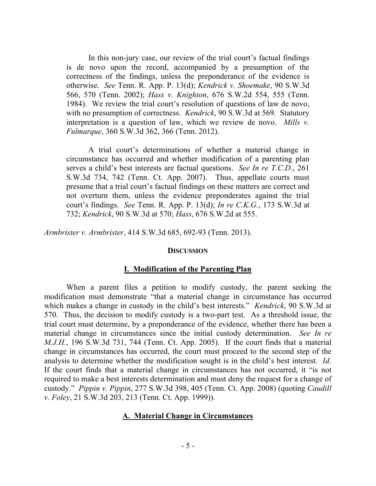In this non-jury case, our review of the trial court's factual findings is de novo upon the record, accompanied by a presumption of the correctness of the findings, unless the preponderance of the evidence is otherwise. *See* Tenn. R. App. P. 13(d); *Kendrick v. Shoemake*, 90 S.W.3d 566, 570 (Tenn. 2002); *Hass v. Knighton*, 676 S.W.2d 554, 555 (Tenn. 1984). We review the trial court's resolution of questions of law de novo, with no presumption of correctness. *Kendrick*, 90 S.W.3d at 569. Statutory interpretation is a question of law, which we review de novo. *Mills v. Fulmarque*, 360 S.W.3d 362, 366 (Tenn. 2012).

A trial court's determinations of whether a material change in circumstance has occurred and whether modification of a parenting plan serves a child's best interests are factual questions. *See In re T.C.D.*, 261 S.W.3d 734, 742 (Tenn. Ct. App. 2007). Thus, appellate courts must presume that a trial court's factual findings on these matters are correct and not overturn them, unless the evidence preponderates against the trial court's findings. *See* Tenn. R. App. P. 13(d); *In re C.K.G.*, 173 S.W.3d at 732; *Kendrick*, 90 S.W.3d at 570; *Hass*, 676 S.W.2d at 555.

*Armbrister v. Armbrister*, 414 S.W.3d 685, 692-93 (Tenn. 2013).

#### **DISCUSSION**

#### **I. Modification of the Parenting Plan**

When a parent files a petition to modify custody, the parent seeking the modification must demonstrate "that a material change in circumstance has occurred which makes a change in custody in the child's best interests." *Kendrick*, 90 S.W.3d at 570. Thus, the decision to modify custody is a two-part test. As a threshold issue, the trial court must determine, by a preponderance of the evidence, whether there has been a material change in circumstances since the initial custody determination. *See In re M.J.H.*, 196 S.W.3d 731, 744 (Tenn. Ct. App. 2005). If the court finds that a material change in circumstances has occurred, the court must proceed to the second step of the analysis to determine whether the modification sought is in the child's best interest. *Id.* If the court finds that a material change in circumstances has not occurred, it "is not required to make a best interests determination and must deny the request for a change of custody." *Pippin v. Pippin*, 277 S.W.3d 398, 405 (Tenn. Ct. App. 2008) (quoting *Caudill v. Foley*, 21 S.W.3d 203, 213 (Tenn. Ct. App. 1999)).

#### **A. Material Change in Circumstances**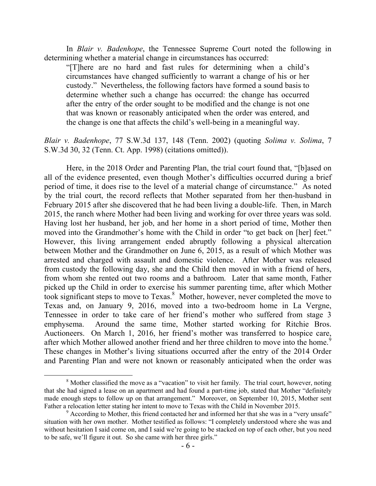In *Blair v. Badenhope*, the Tennessee Supreme Court noted the following in determining whether a material change in circumstances has occurred:

"[T]here are no hard and fast rules for determining when a child's circumstances have changed sufficiently to warrant a change of his or her custody." Nevertheless, the following factors have formed a sound basis to determine whether such a change has occurred: the change has occurred after the entry of the order sought to be modified and the change is not one that was known or reasonably anticipated when the order was entered, and the change is one that affects the child's well-being in a meaningful way.

*Blair v. Badenhope*, 77 S.W.3d 137, 148 (Tenn. 2002) (quoting *Solima v. Solima*, 7 S.W.3d 30, 32 (Tenn. Ct. App. 1998) (citations omitted)).

Here, in the 2018 Order and Parenting Plan, the trial court found that, "[b]ased on all of the evidence presented, even though Mother's difficulties occurred during a brief period of time, it does rise to the level of a material change of circumstance." As noted by the trial court, the record reflects that Mother separated from her then-husband in February 2015 after she discovered that he had been living a double-life. Then, in March 2015, the ranch where Mother had been living and working for over three years was sold. Having lost her husband, her job, and her home in a short period of time, Mother then moved into the Grandmother's home with the Child in order "to get back on [her] feet." However, this living arrangement ended abruptly following a physical altercation between Mother and the Grandmother on June 6, 2015, as a result of which Mother was arrested and charged with assault and domestic violence. After Mother was released from custody the following day, she and the Child then moved in with a friend of hers, from whom she rented out two rooms and a bathroom. Later that same month, Father picked up the Child in order to exercise his summer parenting time, after which Mother took significant steps to move to Texas. 8 Mother, however, never completed the move to Texas and, on January 9, 2016, moved into a two-bedroom home in La Vergne, Tennessee in order to take care of her friend's mother who suffered from stage 3 emphysema. Around the same time, Mother started working for Ritchie Bros. Auctioneers. On March 1, 2016, her friend's mother was transferred to hospice care, after which Mother allowed another friend and her three children to move into the home.<sup>9</sup> These changes in Mother's living situations occurred after the entry of the 2014 Order and Parenting Plan and were not known or reasonably anticipated when the order was

 $\overline{a}$ 

<sup>&</sup>lt;sup>8</sup> Mother classified the move as a "vacation" to visit her family. The trial court, however, noting that she had signed a lease on an apartment and had found a part-time job, stated that Mother "definitely made enough steps to follow up on that arrangement." Moreover, on September 10, 2015, Mother sent Father a relocation letter stating her intent to move to Texas with the Child in November 2015.

 $9$  According to Mother, this friend contacted her and informed her that she was in a "very unsafe" situation with her own mother. Mother testified as follows: "I completely understood where she was and without hesitation I said come on, and I said we're going to be stacked on top of each other, but you need to be safe, we'll figure it out. So she came with her three girls."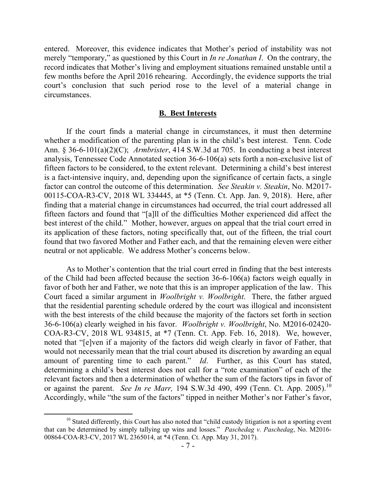entered. Moreover, this evidence indicates that Mother's period of instability was not merely "temporary," as questioned by this Court in *In re Jonathan I*. On the contrary, the record indicates that Mother's living and employment situations remained unstable until a few months before the April 2016 rehearing. Accordingly, the evidence supports the trial court's conclusion that such period rose to the level of a material change in circumstances.

#### **B. Best Interests**

If the court finds a material change in circumstances, it must then determine whether a modification of the parenting plan is in the child's best interest. Tenn. Code Ann. § 36-6-101(a)(2)(C); *Armbrister*, 414 S.W.3d at 705. In conducting a best interest analysis, Tennessee Code Annotated section 36-6-106(a) sets forth a non-exclusive list of fifteen factors to be considered, to the extent relevant. Determining a child's best interest is a fact-intensive inquiry, and, depending upon the significance of certain facts, a single factor can control the outcome of this determination. *See Steakin v. Steakin*, No. M2017- 00115-COA-R3-CV, 2018 WL 334445, at \*5 (Tenn. Ct. App. Jan. 9, 2018). Here, after finding that a material change in circumstances had occurred, the trial court addressed all fifteen factors and found that "[a]ll of the difficulties Mother experienced did affect the best interest of the child." Mother, however, argues on appeal that the trial court erred in its application of these factors, noting specifically that, out of the fifteen, the trial court found that two favored Mother and Father each, and that the remaining eleven were either neutral or not applicable. We address Mother's concerns below.

As to Mother's contention that the trial court erred in finding that the best interests of the Child had been affected because the section 36-6-106(a) factors weigh equally in favor of both her and Father, we note that this is an improper application of the law. This Court faced a similar argument in *Woolbright v. Woolbright*. There, the father argued that the residential parenting schedule ordered by the court was illogical and inconsistent with the best interests of the child because the majority of the factors set forth in section 36-6-106(a) clearly weighed in his favor. *Woolbright v. Woolbright*, No. M2016-02420- COA-R3-CV, 2018 WL 934815, at \*7 (Tenn. Ct. App. Feb. 16, 2018). We, however, noted that "[e]ven if a majority of the factors did weigh clearly in favor of Father, that would not necessarily mean that the trial court abused its discretion by awarding an equal amount of parenting time to each parent." *Id*. Further, as this Court has stated, determining a child's best interest does not call for a "rote examination" of each of the relevant factors and then a determination of whether the sum of the factors tips in favor of or against the parent. *See In re Marr*, 194 S.W.3d 490, 499 (Tenn. Ct. App. 2005).<sup>10</sup> Accordingly, while "the sum of the factors" tipped in neither Mother's nor Father's favor,

<sup>&</sup>lt;sup>10</sup> Stated differently, this Court has also noted that "child custody litigation is not a sporting event that can be determined by simply tallying up wins and losses." *Paschedag v. Paschedag*, No. M2016- 00864-COA-R3-CV, 2017 WL 2365014, at \*4 (Tenn. Ct. App. May 31, 2017).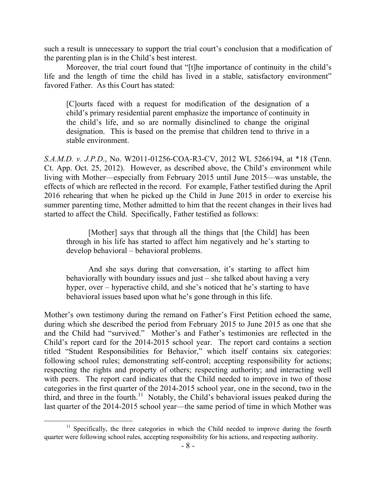such a result is unnecessary to support the trial court's conclusion that a modification of the parenting plan is in the Child's best interest.

Moreover, the trial court found that "[t]he importance of continuity in the child's life and the length of time the child has lived in a stable, satisfactory environment" favored Father. As this Court has stated:

[C]ourts faced with a request for modification of the designation of a child's primary residential parent emphasize the importance of continuity in the child's life, and so are normally disinclined to change the original designation. This is based on the premise that children tend to thrive in a stable environment.

*S.A.M.D. v. J.P.D*., No. W2011-01256-COA-R3-CV, 2012 WL 5266194, at \*18 (Tenn. Ct. App. Oct. 25, 2012). However, as described above, the Child's environment while living with Mother—especially from February 2015 until June 2015—was unstable, the effects of which are reflected in the record. For example, Father testified during the April 2016 rehearing that when he picked up the Child in June 2015 in order to exercise his summer parenting time, Mother admitted to him that the recent changes in their lives had started to affect the Child. Specifically, Father testified as follows:

[Mother] says that through all the things that [the Child] has been through in his life has started to affect him negatively and he's starting to develop behavioral – behavioral problems.

And she says during that conversation, it's starting to affect him behaviorally with boundary issues and just – she talked about having a very hyper, over – hyperactive child, and she's noticed that he's starting to have behavioral issues based upon what he's gone through in this life.

Mother's own testimony during the remand on Father's First Petition echoed the same, during which she described the period from February 2015 to June 2015 as one that she and the Child had "survived." Mother's and Father's testimonies are reflected in the Child's report card for the 2014-2015 school year. The report card contains a section titled "Student Responsibilities for Behavior," which itself contains six categories: following school rules; demonstrating self-control; accepting responsibility for actions; respecting the rights and property of others; respecting authority; and interacting well with peers. The report card indicates that the Child needed to improve in two of those categories in the first quarter of the 2014-2015 school year, one in the second, two in the third, and three in the fourth.<sup>11</sup> Notably, the Child's behavioral issues peaked during the last quarter of the 2014-2015 school year—the same period of time in which Mother was

 $\overline{a}$ 

 $11$  Specifically, the three categories in which the Child needed to improve during the fourth quarter were following school rules, accepting responsibility for his actions, and respecting authority.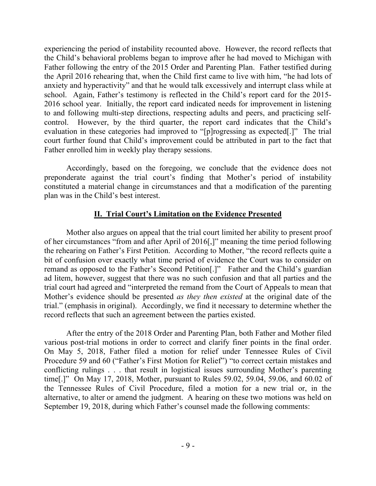experiencing the period of instability recounted above. However, the record reflects that the Child's behavioral problems began to improve after he had moved to Michigan with Father following the entry of the 2015 Order and Parenting Plan. Father testified during the April 2016 rehearing that, when the Child first came to live with him, "he had lots of anxiety and hyperactivity" and that he would talk excessively and interrupt class while at school. Again, Father's testimony is reflected in the Child's report card for the 2015- 2016 school year. Initially, the report card indicated needs for improvement in listening to and following multi-step directions, respecting adults and peers, and practicing selfcontrol. However, by the third quarter, the report card indicates that the Child's evaluation in these categories had improved to "[p]rogressing as expected[.]" The trial court further found that Child's improvement could be attributed in part to the fact that Father enrolled him in weekly play therapy sessions.

Accordingly, based on the foregoing, we conclude that the evidence does not preponderate against the trial court's finding that Mother's period of instability constituted a material change in circumstances and that a modification of the parenting plan was in the Child's best interest.

# **II. Trial Court's Limitation on the Evidence Presented**

Mother also argues on appeal that the trial court limited her ability to present proof of her circumstances "from and after April of 2016[,]" meaning the time period following the rehearing on Father's First Petition. According to Mother, "the record reflects quite a bit of confusion over exactly what time period of evidence the Court was to consider on remand as opposed to the Father's Second Petition[.]" Father and the Child's guardian ad litem, however, suggest that there was no such confusion and that all parties and the trial court had agreed and "interpreted the remand from the Court of Appeals to mean that Mother's evidence should be presented *as they then existed* at the original date of the trial." (emphasis in original). Accordingly, we find it necessary to determine whether the record reflects that such an agreement between the parties existed.

After the entry of the 2018 Order and Parenting Plan, both Father and Mother filed various post-trial motions in order to correct and clarify finer points in the final order. On May 5, 2018, Father filed a motion for relief under Tennessee Rules of Civil Procedure 59 and 60 ("Father's First Motion for Relief") "to correct certain mistakes and conflicting rulings . . . that result in logistical issues surrounding Mother's parenting time[.]" On May 17, 2018, Mother, pursuant to Rules 59.02, 59.04, 59.06, and 60.02 of the Tennessee Rules of Civil Procedure, filed a motion for a new trial or, in the alternative, to alter or amend the judgment. A hearing on these two motions was held on September 19, 2018, during which Father's counsel made the following comments: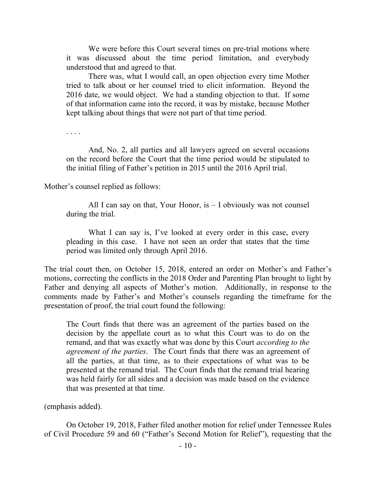We were before this Court several times on pre-trial motions where it was discussed about the time period limitation, and everybody understood that and agreed to that.

There was, what I would call, an open objection every time Mother tried to talk about or her counsel tried to elicit information. Beyond the 2016 date, we would object. We had a standing objection to that. If some of that information came into the record, it was by mistake, because Mother kept talking about things that were not part of that time period.

. . . .

And, No. 2, all parties and all lawyers agreed on several occasions on the record before the Court that the time period would be stipulated to the initial filing of Father's petition in 2015 until the 2016 April trial.

Mother's counsel replied as follows:

All I can say on that, Your Honor, is  $-$  I obviously was not counsel during the trial.

What I can say is, I've looked at every order in this case, every pleading in this case. I have not seen an order that states that the time period was limited only through April 2016.

The trial court then, on October 15, 2018, entered an order on Mother's and Father's motions, correcting the conflicts in the 2018 Order and Parenting Plan brought to light by Father and denying all aspects of Mother's motion. Additionally, in response to the comments made by Father's and Mother's counsels regarding the timeframe for the presentation of proof, the trial court found the following:

The Court finds that there was an agreement of the parties based on the decision by the appellate court as to what this Court was to do on the remand, and that was exactly what was done by this Court *according to the agreement of the parties*. The Court finds that there was an agreement of all the parties, at that time, as to their expectations of what was to be presented at the remand trial. The Court finds that the remand trial hearing was held fairly for all sides and a decision was made based on the evidence that was presented at that time.

(emphasis added).

On October 19, 2018, Father filed another motion for relief under Tennessee Rules of Civil Procedure 59 and 60 ("Father's Second Motion for Relief"), requesting that the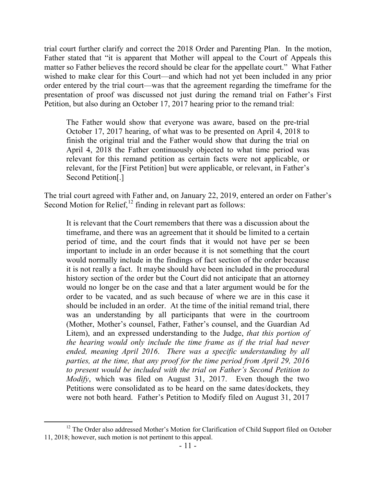trial court further clarify and correct the 2018 Order and Parenting Plan. In the motion, Father stated that "it is apparent that Mother will appeal to the Court of Appeals this matter so Father believes the record should be clear for the appellate court." What Father wished to make clear for this Court—and which had not yet been included in any prior order entered by the trial court—was that the agreement regarding the timeframe for the presentation of proof was discussed not just during the remand trial on Father's First Petition, but also during an October 17, 2017 hearing prior to the remand trial:

The Father would show that everyone was aware, based on the pre-trial October 17, 2017 hearing, of what was to be presented on April 4, 2018 to finish the original trial and the Father would show that during the trial on April 4, 2018 the Father continuously objected to what time period was relevant for this remand petition as certain facts were not applicable, or relevant, for the [First Petition] but were applicable, or relevant, in Father's Second Petition[.]

The trial court agreed with Father and, on January 22, 2019, entered an order on Father's Second Motion for Relief, $^{12}$  finding in relevant part as follows:

It is relevant that the Court remembers that there was a discussion about the timeframe, and there was an agreement that it should be limited to a certain period of time, and the court finds that it would not have per se been important to include in an order because it is not something that the court would normally include in the findings of fact section of the order because it is not really a fact. It maybe should have been included in the procedural history section of the order but the Court did not anticipate that an attorney would no longer be on the case and that a later argument would be for the order to be vacated, and as such because of where we are in this case it should be included in an order. At the time of the initial remand trial, there was an understanding by all participants that were in the courtroom (Mother, Mother's counsel, Father, Father's counsel, and the Guardian Ad Litem), and an expressed understanding to the Judge, *that this portion of the hearing would only include the time frame as if the trial had never ended, meaning April 2016*. *There was a specific understanding by all parties, at the time, that any proof for the time period from April 29, 2016 to present would be included with the trial on Father's Second Petition to Modify*, which was filed on August 31, 2017. Even though the two Petitions were consolidated as to be heard on the same dates/dockets, they were not both heard. Father's Petition to Modify filed on August 31, 2017

  $12$  The Order also addressed Mother's Motion for Clarification of Child Support filed on October 11, 2018; however, such motion is not pertinent to this appeal.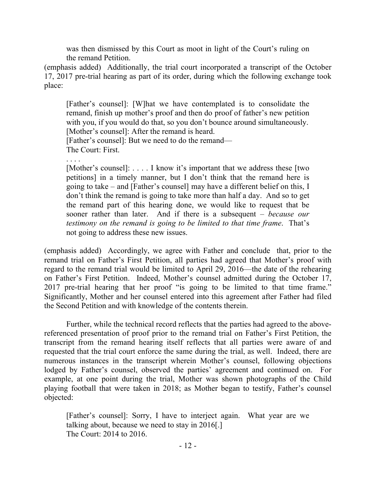was then dismissed by this Court as moot in light of the Court's ruling on the remand Petition.

(emphasis added) Additionally, the trial court incorporated a transcript of the October 17, 2017 pre-trial hearing as part of its order, during which the following exchange took place:

[Father's counsel]: [W]hat we have contemplated is to consolidate the remand, finish up mother's proof and then do proof of father's new petition with you, if you would do that, so you don't bounce around simultaneously. [Mother's counsel]: After the remand is heard. [Father's counsel]: But we need to do the remand— The Court: First.

. . . .

[Mother's counsel]: . . . . I know it's important that we address these [two petitions] in a timely manner, but I don't think that the remand here is going to take – and [Father's counsel] may have a different belief on this, I don't think the remand is going to take more than half a day. And so to get the remand part of this hearing done, we would like to request that be sooner rather than later. And if there is a subsequent – *because our testimony on the remand is going to be limited to that time frame*. That's not going to address these new issues.

(emphasis added) Accordingly, we agree with Father and conclude that, prior to the remand trial on Father's First Petition, all parties had agreed that Mother's proof with regard to the remand trial would be limited to April 29, 2016—the date of the rehearing on Father's First Petition. Indeed, Mother's counsel admitted during the October 17, 2017 pre-trial hearing that her proof "is going to be limited to that time frame." Significantly, Mother and her counsel entered into this agreement after Father had filed the Second Petition and with knowledge of the contents therein.

Further, while the technical record reflects that the parties had agreed to the abovereferenced presentation of proof prior to the remand trial on Father's First Petition, the transcript from the remand hearing itself reflects that all parties were aware of and requested that the trial court enforce the same during the trial, as well. Indeed, there are numerous instances in the transcript wherein Mother's counsel, following objections lodged by Father's counsel, observed the parties' agreement and continued on. For example, at one point during the trial, Mother was shown photographs of the Child playing football that were taken in 2018; as Mother began to testify, Father's counsel objected:

[Father's counsel]: Sorry, I have to interject again. What year are we talking about, because we need to stay in 2016[.] The Court: 2014 to 2016.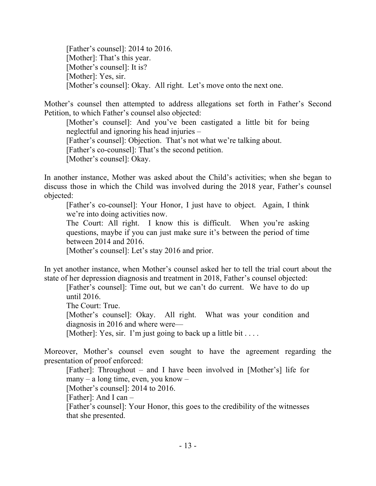[Father's counsel]: 2014 to 2016. [Mother]: That's this year. [Mother's counsel]: It is? [Mother]: Yes, sir. [Mother's counsel]: Okay. All right. Let's move onto the next one.

Mother's counsel then attempted to address allegations set forth in Father's Second Petition, to which Father's counsel also objected:

[Mother's counsel]: And you've been castigated a little bit for being neglectful and ignoring his head injuries –

[Father's counsel]: Objection. That's not what we're talking about.

[Father's co-counsel]: That's the second petition.

[Mother's counsel]: Okay.

In another instance, Mother was asked about the Child's activities; when she began to discuss those in which the Child was involved during the 2018 year, Father's counsel objected:

[Father's co-counsel]: Your Honor, I just have to object. Again, I think we're into doing activities now.

The Court: All right. I know this is difficult. When you're asking questions, maybe if you can just make sure it's between the period of time between 2014 and 2016.

[Mother's counsel]: Let's stay 2016 and prior.

In yet another instance, when Mother's counsel asked her to tell the trial court about the state of her depression diagnosis and treatment in 2018, Father's counsel objected:

[Father's counsel]: Time out, but we can't do current. We have to do up until 2016.

The Court: True.

[Mother's counsel]: Okay. All right. What was your condition and diagnosis in 2016 and where were—

[Mother]: Yes, sir. I'm just going to back up a little bit . . . .

Moreover, Mother's counsel even sought to have the agreement regarding the presentation of proof enforced:

[Father]: Throughout – and I have been involved in [Mother's] life for many – a long time, even, you know – [Mother's counsel]: 2014 to 2016.

[Father]: And I can –

[Father's counsel]: Your Honor, this goes to the credibility of the witnesses that she presented.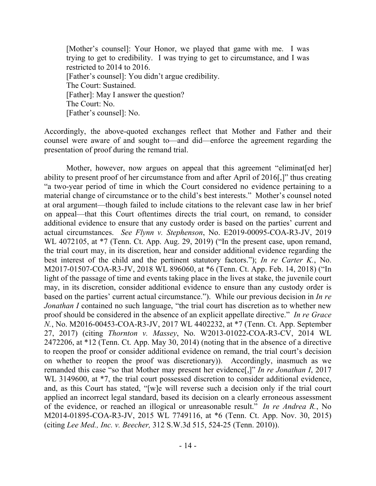[Mother's counsel]: Your Honor, we played that game with me. I was trying to get to credibility. I was trying to get to circumstance, and I was restricted to 2014 to 2016. [Father's counsel]: You didn't argue credibility. The Court: Sustained. [Father]: May I answer the question? The Court: No. [Father's counsel]: No.

Accordingly, the above-quoted exchanges reflect that Mother and Father and their counsel were aware of and sought to—and did—enforce the agreement regarding the presentation of proof during the remand trial.

Mother, however, now argues on appeal that this agreement "eliminat [ed her] ability to present proof of her circumstance from and after April of 2016[,]" thus creating "a two-year period of time in which the Court considered no evidence pertaining to a material change of circumstance or to the child's best interests." Mother's counsel noted at oral argument—though failed to include citations to the relevant case law in her brief on appeal—that this Court oftentimes directs the trial court, on remand, to consider additional evidence to ensure that any custody order is based on the parties' current and actual circumstances. *See Flynn v. Stephenson*, No. E2019-00095-COA-R3-JV, 2019 WL 4072105, at \*7 (Tenn. Ct. App. Aug. 29, 2019) ("In the present case, upon remand, the trial court may, in its discretion, hear and consider additional evidence regarding the best interest of the child and the pertinent statutory factors."); *In re Carter K.*, No. M2017-01507-COA-R3-JV, 2018 WL 896060, at \*6 (Tenn. Ct. App. Feb. 14, 2018) ("In light of the passage of time and events taking place in the lives at stake, the juvenile court may, in its discretion, consider additional evidence to ensure than any custody order is based on the parties' current actual circumstance."). While our previous decision in *In re Jonathan I* contained no such language, "the trial court has discretion as to whether new proof should be considered in the absence of an explicit appellate directive." *In re Grace N.*, No. M2016-00453-COA-R3-JV, 2017 WL 4402232, at \*7 (Tenn. Ct. App. September 27, 2017) (citing *Thornton v. Massey*, No. W2013-01022-COA-R3-CV, 2014 WL 2472206, at \*12 (Tenn. Ct. App. May 30, 2014) (noting that in the absence of a directive to reopen the proof or consider additional evidence on remand, the trial court's decision on whether to reopen the proof was discretionary)). Accordingly, inasmuch as we remanded this case "so that Mother may present her evidence[,]" *In re Jonathan I*, 2017 WL 3149600, at  $*7$ , the trial court possessed discretion to consider additional evidence, and, as this Court has stated, "[w]e will reverse such a decision only if the trial court applied an incorrect legal standard, based its decision on a clearly erroneous assessment of the evidence, or reached an illogical or unreasonable result." *In re Andrea R.*, No M2014-01895-COA-R3-JV, 2015 WL 7749116, at \*6 (Tenn. Ct. App. Nov. 30, 2015) (citing *Lee Med., Inc. v. Beecher,* 312 S.W.3d 515, 524-25 (Tenn. 2010)).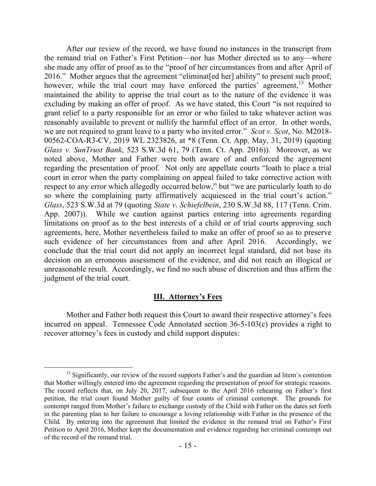After our review of the record, we have found no instances in the transcript from the remand trial on Father's First Petition—nor has Mother directed us to any—where she made any offer of proof as to the "proof of her circumstances from and after April of 2016." Mother argues that the agreement "eliminat [ed her] ability" to present such proof; however, while the trial court may have enforced the parties' agreement,<sup>13</sup> Mother maintained the ability to apprise the trial court as to the nature of the evidence it was excluding by making an offer of proof. As we have stated, this Court "is not required to grant relief to a party responsible for an error or who failed to take whatever action was reasonably available to prevent or nullify the harmful effect of an error. In other words, we are not required to grant leave to a party who invited error." *Scot v. Scot*, No. M2018- 00562-COA-R3-CV, 2019 WL 2323826, at \*8 (Tenn. Ct. App. May, 31, 2019) (quoting *Glass v. SunTrust Bank*, 523 S.W.3d 61, 79 (Tenn. Ct. App. 2016)). Moreover, as we noted above, Mother and Father were both aware of and enforced the agreement regarding the presentation of proof. Not only are appellate courts "loath to place a trial court in error when the party complaining on appeal failed to take corrective action with respect to any error which allegedly occurred below," but "we are particularly loath to do so where the complaining party affirmatively acquiesced in the trial court's action." *Glass*, 523 S.W.3d at 79 (quoting *State v. Schiefelbein*, 230 S.W.3d 88, 117 (Tenn. Crim. App. 2007)). While we caution against parties entering into agreements regarding limitations on proof as to the best interests of a child or of trial courts approving such agreements, here, Mother nevertheless failed to make an offer of proof so as to preserve such evidence of her circumstances from and after April 2016. Accordingly, we conclude that the trial court did not apply an incorrect legal standard, did not base its decision on an erroneous assessment of the evidence, and did not reach an illogical or unreasonable result. Accordingly, we find no such abuse of discretion and thus affirm the judgment of the trial court.

### **III. Attorney's Fees**

Mother and Father both request this Court to award their respective attorney's fees incurred on appeal. Tennessee Code Annotated section 36-5-103(c) provides a right to recover attorney's fees in custody and child support disputes:

 $\overline{a}$ <sup>13</sup> Significantly, our review of the record supports Father's and the guardian ad litem's contention that Mother willingly entered into the agreement regarding the presentation of proof for strategic reasons. The record reflects that, on July 20, 2017, subsequent to the April 2016 rehearing on Father's first petition, the trial court found Mother guilty of four counts of criminal contempt. The grounds for contempt ranged from Mother's failure to exchange custody of the Child with Father on the dates set forth in the parenting plan to her failure to encourage a loving relationship with Father in the presence of the Child. By entering into the agreement that limited the evidence in the remand trial on Father's First Petition to April 2016, Mother kept the documentation and evidence regarding her criminal contempt out of the record of the remand trial.